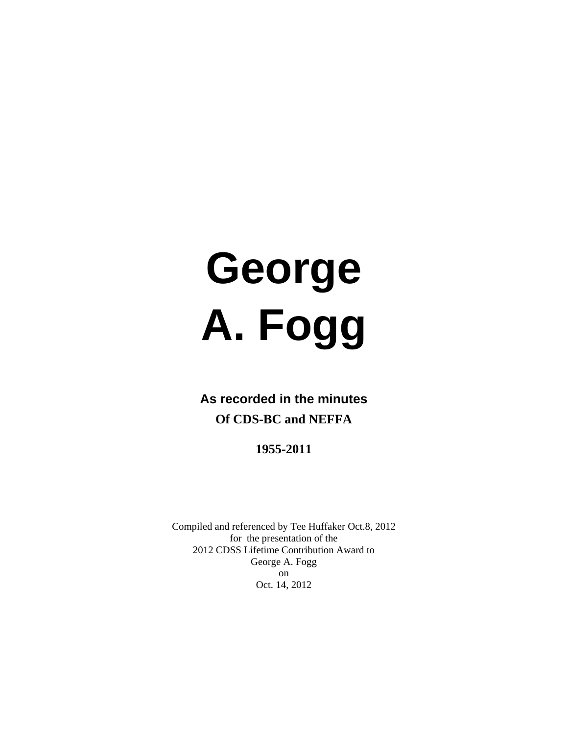# **George A. Fogg**

# **As recorded in the minutes Of CDS-BC and NEFFA**

**1955-2011** 

Compiled and referenced by Tee Huffaker Oct.8, 2012 for the presentation of the 2012 CDSS Lifetime Contribution Award to George A. Fogg on Oct. 14, 2012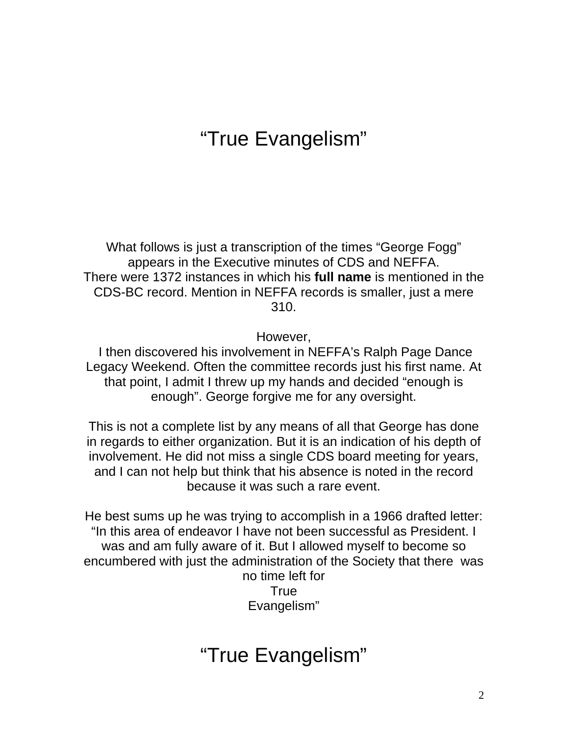# "True Evangelism"

What follows is just a transcription of the times "George Fogg" appears in the Executive minutes of CDS and NEFFA. There were 1372 instances in which his **full name** is mentioned in the CDS-BC record. Mention in NEFFA records is smaller, just a mere 310.

However,

 I then discovered his involvement in NEFFA's Ralph Page Dance Legacy Weekend. Often the committee records just his first name. At that point, I admit I threw up my hands and decided "enough is enough". George forgive me for any oversight.

This is not a complete list by any means of all that George has done in regards to either organization. But it is an indication of his depth of involvement. He did not miss a single CDS board meeting for years, and I can not help but think that his absence is noted in the record because it was such a rare event.

He best sums up he was trying to accomplish in a 1966 drafted letter: "In this area of endeavor I have not been successful as President. I was and am fully aware of it. But I allowed myself to become so encumbered with just the administration of the Society that there was no time left for True Evangelism"

# "True Evangelism"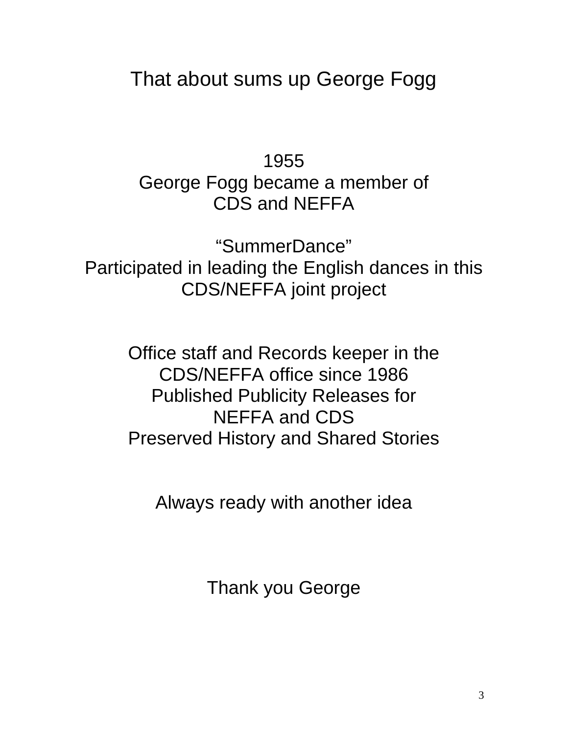That about sums up George Fogg

1955 George Fogg became a member of CDS and NEFFA

"SummerDance" Participated in leading the English dances in this CDS/NEFFA joint project

> Office staff and Records keeper in the CDS/NEFFA office since 1986 Published Publicity Releases for NEFFA and CDS Preserved History and Shared Stories

Always ready with another idea

Thank you George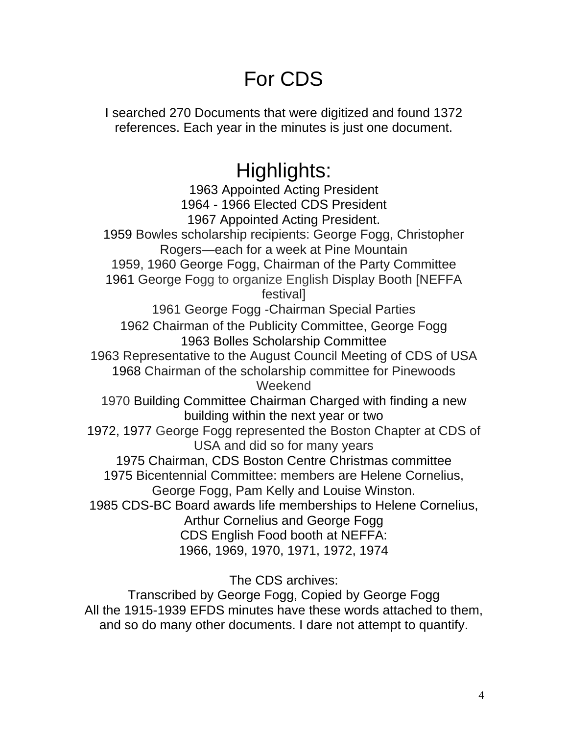# For CDS

I searched 270 Documents that were digitized and found 1372 references. Each year in the minutes is just one document.

# Highlights:

1963 Appointed Acting President 1964 - 1966 Elected CDS President 1967 Appointed Acting President. 1959 Bowles scholarship recipients: George Fogg, Christopher Rogers—each for a week at Pine Mountain 1959, 1960 George Fogg, Chairman of the Party Committee 1961 George Fogg to organize English Display Booth [NEFFA festival] 1961 George Fogg -Chairman Special Parties 1962 Chairman of the Publicity Committee, George Fogg 1963 Bolles Scholarship Committee 1963 Representative to the August Council Meeting of CDS of USA 1968 Chairman of the scholarship committee for Pinewoods Weekend 1970 Building Committee Chairman Charged with finding a new building within the next year or two 1972, 1977 George Fogg represented the Boston Chapter at CDS of USA and did so for many years 1975 Chairman, CDS Boston Centre Christmas committee 1975 Bicentennial Committee: members are Helene Cornelius, George Fogg, Pam Kelly and Louise Winston. 1985 CDS-BC Board awards life memberships to Helene Cornelius, Arthur Cornelius and George Fogg CDS English Food booth at NEFFA: 1966, 1969, 1970, 1971, 1972, 1974

The CDS archives:

Transcribed by George Fogg, Copied by George Fogg All the 1915-1939 EFDS minutes have these words attached to them, and so do many other documents. I dare not attempt to quantify.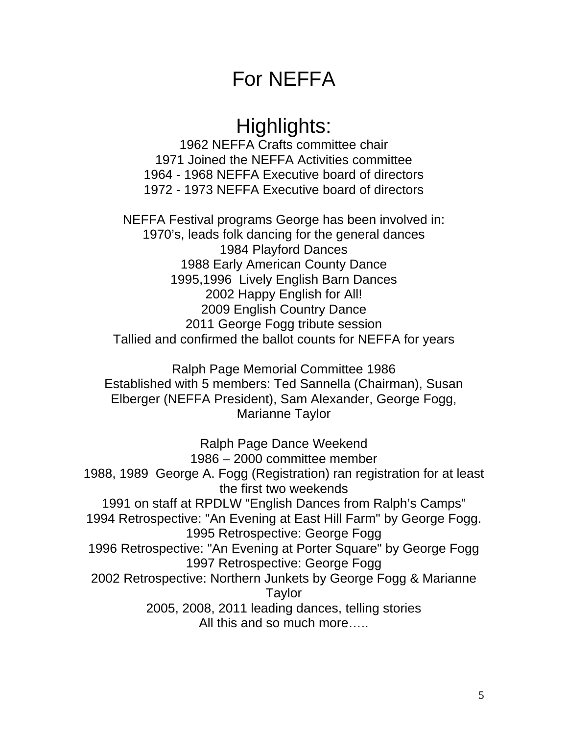# For NEFFA

# Highlights:

1962 NEFFA Crafts committee chair 1971 Joined the NEFFA Activities committee 1964 - 1968 NEFFA Executive board of directors 1972 - 1973 NEFFA Executive board of directors

NEFFA Festival programs George has been involved in: 1970's, leads folk dancing for the general dances 1984 Playford Dances 1988 Early American County Dance 1995,1996 Lively English Barn Dances 2002 Happy English for All! 2009 English Country Dance 2011 George Fogg tribute session Tallied and confirmed the ballot counts for NEFFA for years

Ralph Page Memorial Committee 1986 Established with 5 members: Ted Sannella (Chairman), Susan Elberger (NEFFA President), Sam Alexander, George Fogg, Marianne Taylor

Ralph Page Dance Weekend 1986 – 2000 committee member 1988, 1989 George A. Fogg (Registration) ran registration for at least the first two weekends 1991 on staff at RPDLW "English Dances from Ralph's Camps" 1994 Retrospective: "An Evening at East Hill Farm" by George Fogg. 1995 Retrospective: George Fogg 1996 Retrospective: "An Evening at Porter Square" by George Fogg 1997 Retrospective: George Fogg 2002 Retrospective: Northern Junkets by George Fogg & Marianne Taylor 2005, 2008, 2011 leading dances, telling stories All this and so much more…..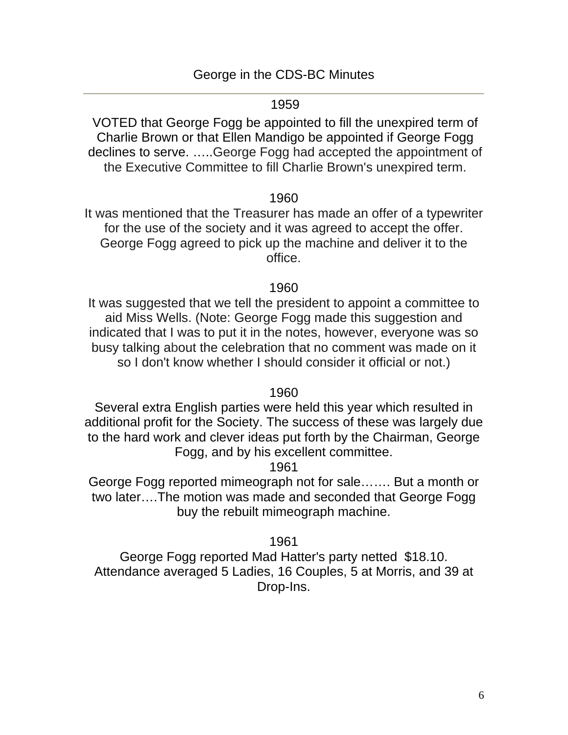#### 1959

VOTED that George Fogg be appointed to fill the unexpired term of Charlie Brown or that Ellen Mandigo be appointed if George Fogg declines to serve. …..George Fogg had accepted the appointment of the Executive Committee to fill Charlie Brown's unexpired term.

#### 1960

It was mentioned that the Treasurer has made an offer of a typewriter for the use of the society and it was agreed to accept the offer. George Fogg agreed to pick up the machine and deliver it to the office.

#### 1960

It was suggested that we tell the president to appoint a committee to aid Miss Wells. (Note: George Fogg made this suggestion and indicated that I was to put it in the notes, however, everyone was so busy talking about the celebration that no comment was made on it so I don't know whether I should consider it official or not.)

#### 1960

Several extra English parties were held this year which resulted in additional profit for the Society. The success of these was largely due to the hard work and clever ideas put forth by the Chairman, George Fogg, and by his excellent committee.

1961

George Fogg reported mimeograph not for sale……. But a month or two later….The motion was made and seconded that George Fogg buy the rebuilt mimeograph machine.

#### 1961

George Fogg reported Mad Hatter's party netted \$18.10. Attendance averaged 5 Ladies, 16 Couples, 5 at Morris, and 39 at Drop-Ins.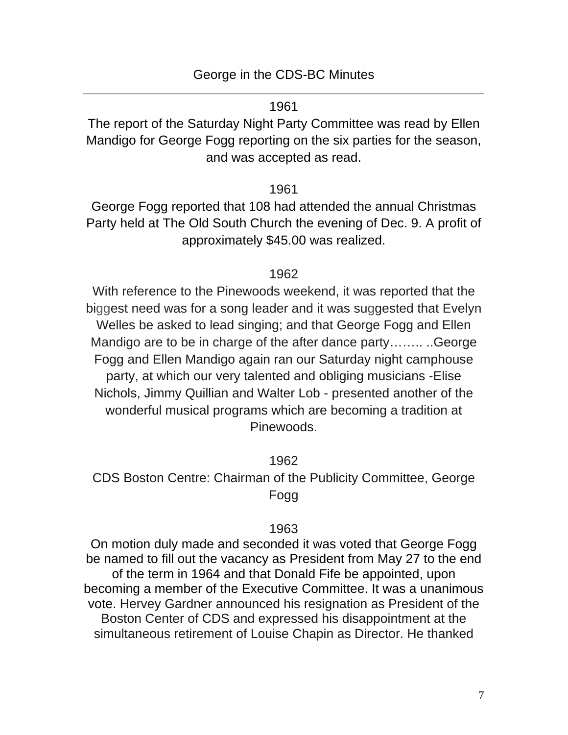1961

The report of the Saturday Night Party Committee was read by Ellen Mandigo for George Fogg reporting on the six parties for the season, and was accepted as read.

1961

George Fogg reported that 108 had attended the annual Christmas Party held at The Old South Church the evening of Dec. 9. A profit of approximately \$45.00 was realized.

# 1962

With reference to the Pinewoods weekend, it was reported that the biggest need was for a song leader and it was suggested that Evelyn Welles be asked to lead singing; and that George Fogg and Ellen Mandigo are to be in charge of the after dance party…….. ..George Fogg and Ellen Mandigo again ran our Saturday night camphouse party, at which our very talented and obliging musicians -Elise Nichols, Jimmy Quillian and Walter Lob - presented another of the wonderful musical programs which are becoming a tradition at Pinewoods.

# 1962

CDS Boston Centre: Chairman of the Publicity Committee, George Fogg

# 1963

On motion duly made and seconded it was voted that George Fogg be named to fill out the vacancy as President from May 27 to the end of the term in 1964 and that Donald Fife be appointed, upon becoming a member of the Executive Committee. It was a unanimous vote. Hervey Gardner announced his resignation as President of the Boston Center of CDS and expressed his disappointment at the simultaneous retirement of Louise Chapin as Director. He thanked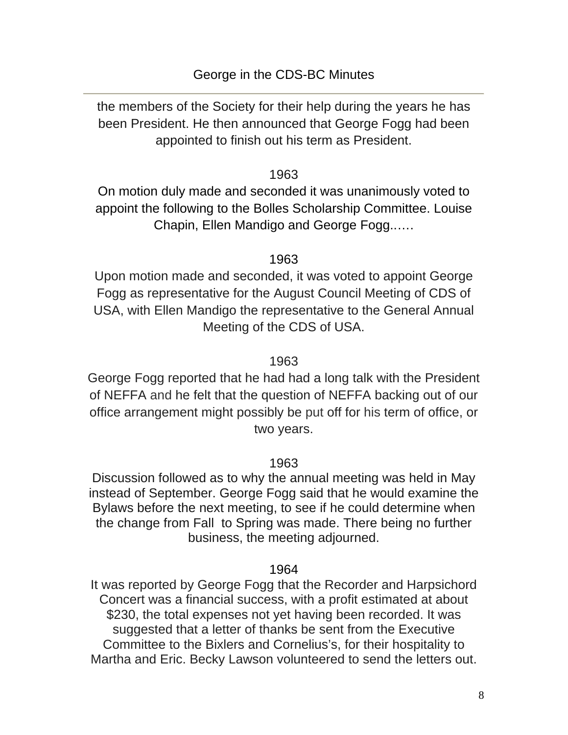the members of the Society for their help during the years he has been President. He then announced that George Fogg had been appointed to finish out his term as President.

# 1963

On motion duly made and seconded it was unanimously voted to appoint the following to the Bolles Scholarship Committee. Louise Chapin, Ellen Mandigo and George Fogg..….

# 1963

Upon motion made and seconded, it was voted to appoint George Fogg as representative for the August Council Meeting of CDS of USA, with Ellen Mandigo the representative to the General Annual Meeting of the CDS of USA.

# 1963

George Fogg reported that he had had a long talk with the President of NEFFA and he felt that the question of NEFFA backing out of our office arrangement might possibly be put off for his term of office, or two years.

1963

Discussion followed as to why the annual meeting was held in May instead of September. George Fogg said that he would examine the Bylaws before the next meeting, to see if he could determine when the change from Fall to Spring was made. There being no further business, the meeting adjourned.

# 1964

It was reported by George Fogg that the Recorder and Harpsichord Concert was a financial success, with a profit estimated at about \$230, the total expenses not yet having been recorded. It was suggested that a letter of thanks be sent from the Executive Committee to the Bixlers and Cornelius's, for their hospitality to Martha and Eric. Becky Lawson volunteered to send the letters out.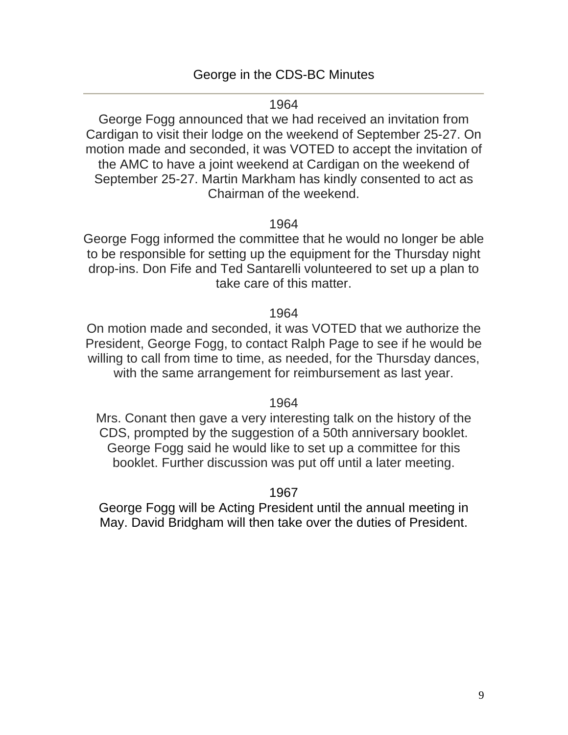#### 1964

George Fogg announced that we had received an invitation from Cardigan to visit their lodge on the weekend of September 25-27. On motion made and seconded, it was VOTED to accept the invitation of the AMC to have a joint weekend at Cardigan on the weekend of September 25-27. Martin Markham has kindly consented to act as Chairman of the weekend.

#### 1964

George Fogg informed the committee that he would no longer be able to be responsible for setting up the equipment for the Thursday night drop-ins. Don Fife and Ted Santarelli volunteered to set up a plan to take care of this matter.

#### 1964

On motion made and seconded, it was VOTED that we authorize the President, George Fogg, to contact Ralph Page to see if he would be willing to call from time to time, as needed, for the Thursday dances, with the same arrangement for reimbursement as last year.

#### 1964

Mrs. Conant then gave a very interesting talk on the history of the CDS, prompted by the suggestion of a 50th anniversary booklet. George Fogg said he would like to set up a committee for this booklet. Further discussion was put off until a later meeting.

1967

George Fogg will be Acting President until the annual meeting in May. David Bridgham will then take over the duties of President.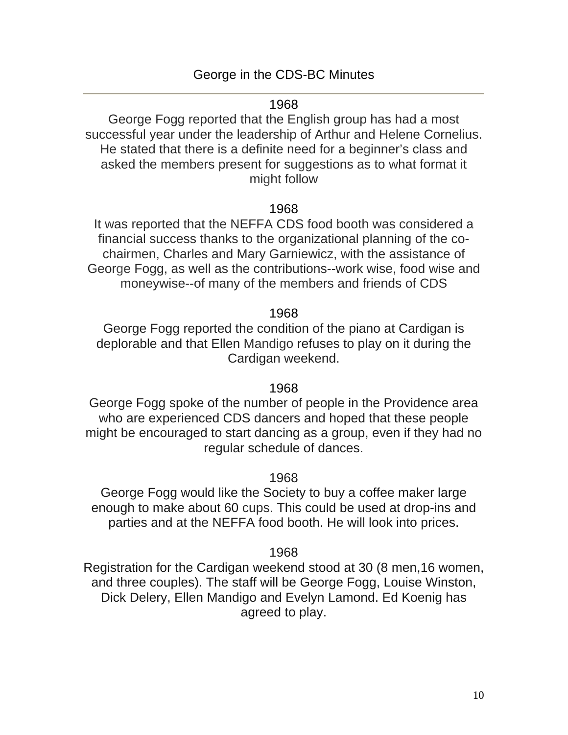# 1968

George Fogg reported that the English group has had a most successful year under the leadership of Arthur and Helene Cornelius. He stated that there is a definite need for a beginner's class and asked the members present for suggestions as to what format it might follow

#### 1968

It was reported that the NEFFA CDS food booth was considered a financial success thanks to the organizational planning of the cochairmen, Charles and Mary Garniewicz, with the assistance of George Fogg, as well as the contributions--work wise, food wise and moneywise--of many of the members and friends of CDS

1968

George Fogg reported the condition of the piano at Cardigan is deplorable and that Ellen Mandigo refuses to play on it during the Cardigan weekend.

# 1968

George Fogg spoke of the number of people in the Providence area who are experienced CDS dancers and hoped that these people might be encouraged to start dancing as a group, even if they had no regular schedule of dances.

1968

George Fogg would like the Society to buy a coffee maker large enough to make about 60 cups. This could be used at drop-ins and parties and at the NEFFA food booth. He will look into prices.

1968

Registration for the Cardigan weekend stood at 30 (8 men,16 women, and three couples). The staff will be George Fogg, Louise Winston, Dick Delery, Ellen Mandigo and Evelyn Lamond. Ed Koenig has agreed to play.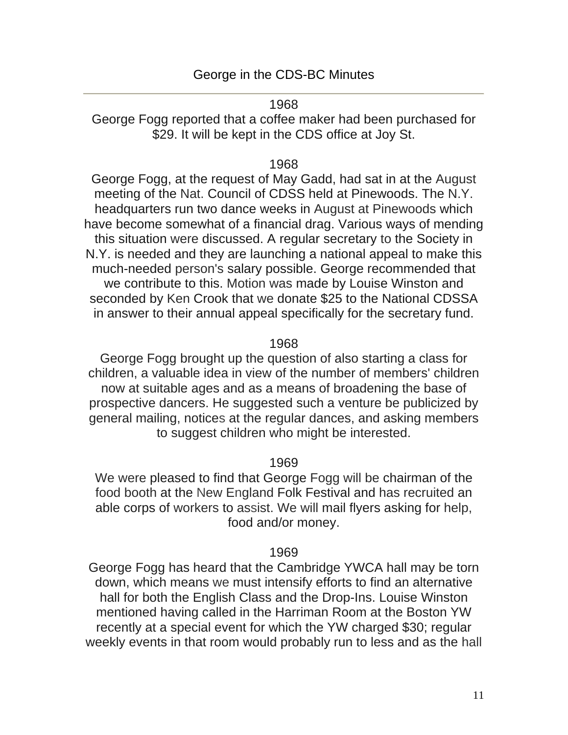#### 1968

George Fogg reported that a coffee maker had been purchased for \$29. It will be kept in the CDS office at Joy St.

# 1968

George Fogg, at the request of May Gadd, had sat in at the August meeting of the Nat. Council of CDSS held at Pinewoods. The N.Y. headquarters run two dance weeks in August at Pinewoods which have become somewhat of a financial drag. Various ways of mending this situation were discussed. A regular secretary to the Society in N.Y. is needed and they are launching a national appeal to make this much-needed person's salary possible. George recommended that we contribute to this. Motion was made by Louise Winston and seconded by Ken Crook that we donate \$25 to the National CDSSA in answer to their annual appeal specifically for the secretary fund.

# 1968

George Fogg brought up the question of also starting a class for children, a valuable idea in view of the number of members' children now at suitable ages and as a means of broadening the base of prospective dancers. He suggested such a venture be publicized by general mailing, notices at the regular dances, and asking members to suggest children who might be interested.

# 1969

We were pleased to find that George Fogg will be chairman of the food booth at the New England Folk Festival and has recruited an able corps of workers to assist. We will mail flyers asking for help, food and/or money.

#### 1969

George Fogg has heard that the Cambridge YWCA hall may be torn down, which means we must intensify efforts to find an alternative hall for both the English Class and the Drop-Ins. Louise Winston mentioned having called in the Harriman Room at the Boston YW recently at a special event for which the YW charged \$30; regular weekly events in that room would probably run to less and as the hall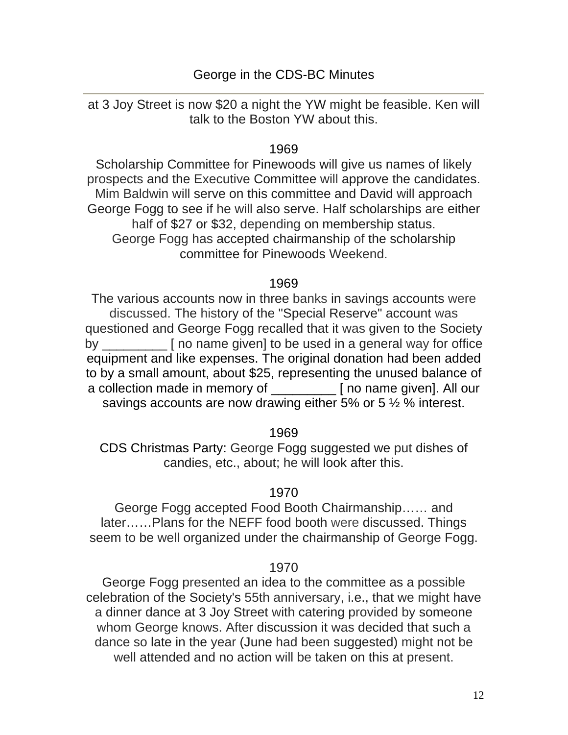at 3 Joy Street is now \$20 a night the YW might be feasible. Ken will talk to the Boston YW about this.

# 1969

Scholarship Committee for Pinewoods will give us names of likely prospects and the Executive Committee will approve the candidates. Mim Baldwin will serve on this committee and David will approach George Fogg to see if he will also serve. Half scholarships are either half of \$27 or \$32, depending on membership status. George Fogg has accepted chairmanship of the scholarship committee for Pinewoods Weekend.

# 1969

The various accounts now in three banks in savings accounts were discussed. The history of the "Special Reserve" account was questioned and George Fogg recalled that it was given to the Society by [ no name given] to be used in a general way for office equipment and like expenses. The original donation had been added to by a small amount, about \$25, representing the unused balance of a collection made in memory of \_\_\_\_\_\_\_\_\_ [ no name given]. All our savings accounts are now drawing either 5% or 5 ½ % interest.

1969

CDS Christmas Party: George Fogg suggested we put dishes of candies, etc., about; he will look after this.

# 1970

George Fogg accepted Food Booth Chairmanship…… and later……Plans for the NEFF food booth were discussed. Things seem to be well organized under the chairmanship of George Fogg.

# 1970

George Fogg presented an idea to the committee as a possible celebration of the Society's 55th anniversary, i.e., that we might have a dinner dance at 3 Joy Street with catering provided by someone whom George knows. After discussion it was decided that such a dance so late in the year (June had been suggested) might not be well attended and no action will be taken on this at present.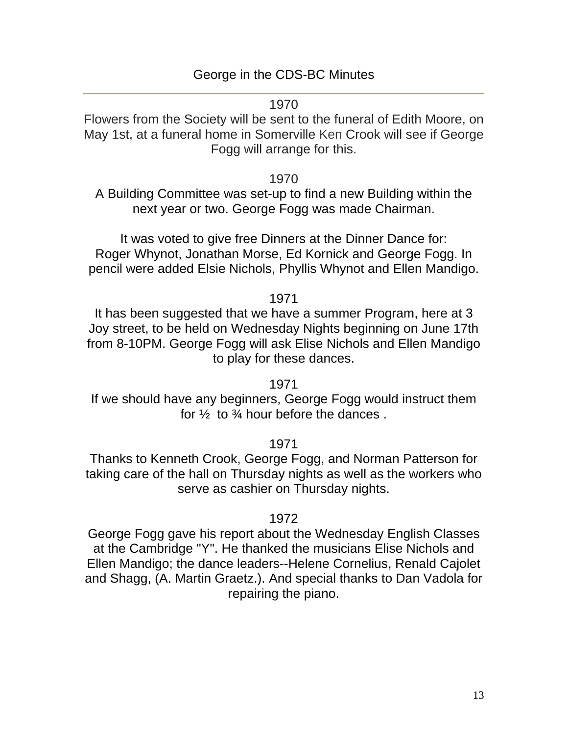1970

Flowers from the Society will be sent to the funeral of Edith Moore, on May 1st, at a funeral home in Somerville Ken Crook will see if George Fogg will arrange for this.

1970

A Building Committee was set-up to find a new Building within the next year or two. George Fogg was made Chairman.

It was voted to give free Dinners at the Dinner Dance for: Roger Whynot, Jonathan Morse, Ed Kornick and George Fogg. In pencil were added Elsie Nichols, Phyllis Whynot and Ellen Mandigo.

1971

It has been suggested that we have a summer Program, here at 3 Joy street, to be held on Wednesday Nights beginning on June 17th from 8-10PM. George Fogg will ask Elise Nichols and Ellen Mandigo to play for these dances.

1971

If we should have any beginners, George Fogg would instruct them for ½ to ¾ hour before the dances .

1971

Thanks to Kenneth Crook, George Fogg, and Norman Patterson for taking care of the hall on Thursday nights as well as the workers who serve as cashier on Thursday nights.

1972

George Fogg gave his report about the Wednesday English Classes at the Cambridge "Y". He thanked the musicians Elise Nichols and Ellen Mandigo; the dance leaders--Helene Cornelius, Renald Cajolet and Shagg, (A. Martin Graetz.). And special thanks to Dan Vadola for repairing the piano.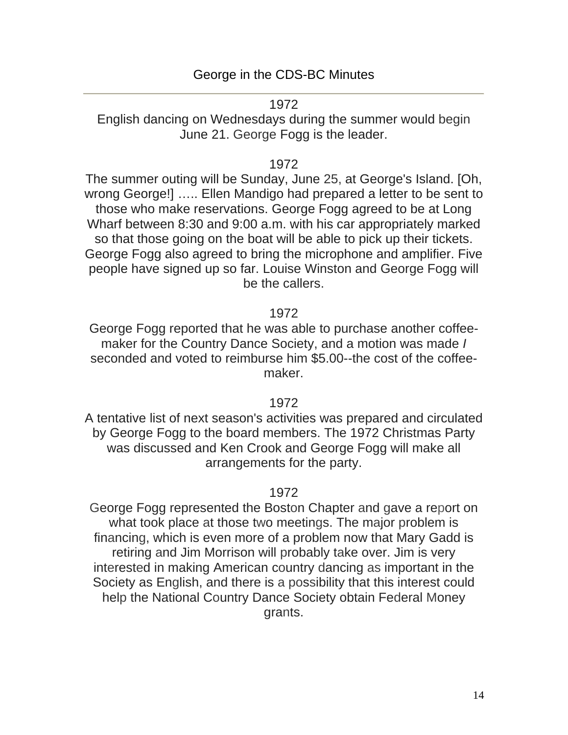#### 1972

English dancing on Wednesdays during the summer would begin June 21. George Fogg is the leader.

# 1972

The summer outing will be Sunday, June 25, at George's Island. [Oh, wrong George!] ….. Ellen Mandigo had prepared a letter to be sent to those who make reservations. George Fogg agreed to be at Long Wharf between 8:30 and 9:00 a.m. with his car appropriately marked so that those going on the boat will be able to pick up their tickets. George Fogg also agreed to bring the microphone and amplifier. Five people have signed up so far. Louise Winston and George Fogg will be the callers.

1972

George Fogg reported that he was able to purchase another coffeemaker for the Country Dance Society, and a motion was made *I*  seconded and voted to reimburse him \$5.00--the cost of the coffeemaker.

# 1972

A tentative list of next season's activities was prepared and circulated by George Fogg to the board members. The 1972 Christmas Party was discussed and Ken Crook and George Fogg will make all arrangements for the party.

# 1972

George Fogg represented the Boston Chapter and gave a report on what took place at those two meetings. The major problem is financing, which is even more of a problem now that Mary Gadd is retiring and Jim Morrison will probably take over. Jim is very interested in making American country dancing as important in the Society as English, and there is a possibility that this interest could help the National Country Dance Society obtain Federal Money grants.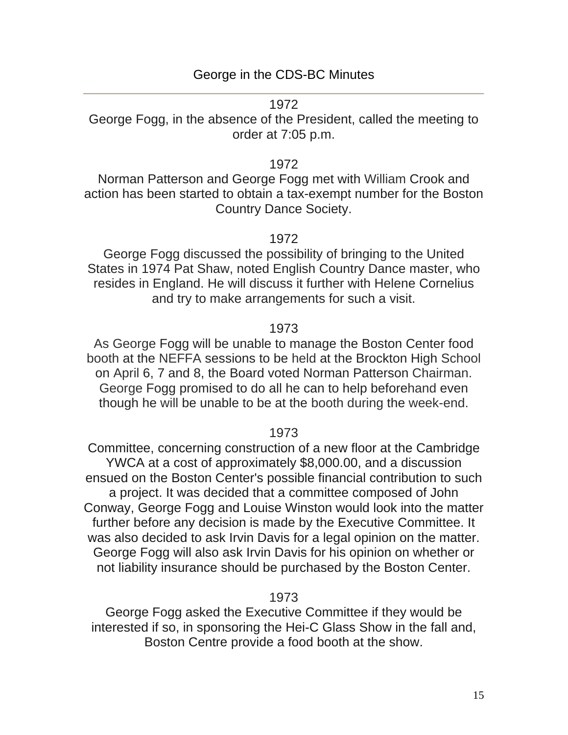1972

George Fogg, in the absence of the President, called the meeting to order at 7:05 p.m.

1972

Norman Patterson and George Fogg met with William Crook and action has been started to obtain a tax-exempt number for the Boston Country Dance Society.

1972

George Fogg discussed the possibility of bringing to the United States in 1974 Pat Shaw, noted English Country Dance master, who resides in England. He will discuss it further with Helene Cornelius and try to make arrangements for such a visit.

#### 1973

As George Fogg will be unable to manage the Boston Center food booth at the NEFFA sessions to be held at the Brockton High School on April 6, 7 and 8, the Board voted Norman Patterson Chairman. George Fogg promised to do all he can to help beforehand even though he will be unable to be at the booth during the week-end.

1973

Committee, concerning construction of a new floor at the Cambridge YWCA at a cost of approximately \$8,000.00, and a discussion ensued on the Boston Center's possible financial contribution to such a project. It was decided that a committee composed of John Conway, George Fogg and Louise Winston would look into the matter further before any decision is made by the Executive Committee. It was also decided to ask Irvin Davis for a legal opinion on the matter. George Fogg will also ask Irvin Davis for his opinion on whether or not liability insurance should be purchased by the Boston Center.

1973

George Fogg asked the Executive Committee if they would be interested if so, in sponsoring the Hei-C Glass Show in the fall and, Boston Centre provide a food booth at the show.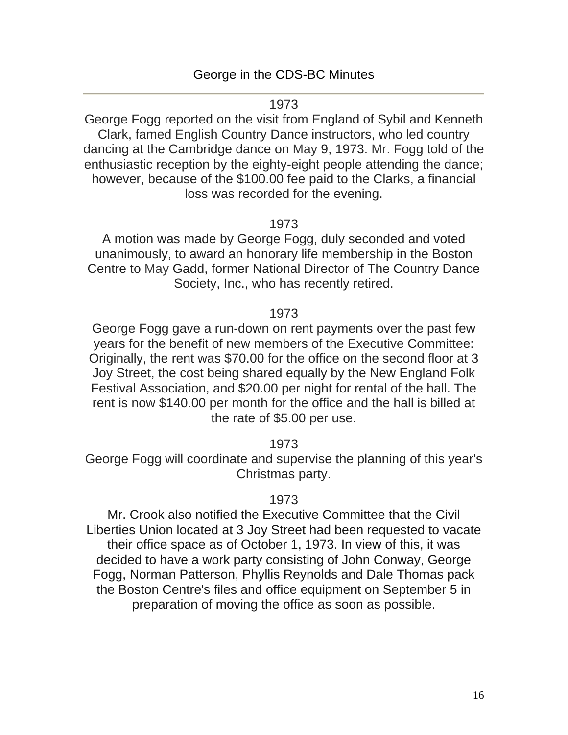#### 1973

George Fogg reported on the visit from England of Sybil and Kenneth Clark, famed English Country Dance instructors, who led country dancing at the Cambridge dance on May 9, 1973. Mr. Fogg told of the enthusiastic reception by the eighty-eight people attending the dance; however, because of the \$100.00 fee paid to the Clarks, a financial loss was recorded for the evening.

#### 1973

A motion was made by George Fogg, duly seconded and voted unanimously, to award an honorary life membership in the Boston Centre to May Gadd, former National Director of The Country Dance Society, Inc., who has recently retired.

#### 1973

George Fogg gave a run-down on rent payments over the past few years for the benefit of new members of the Executive Committee: Originally, the rent was \$70.00 for the office on the second floor at 3 Joy Street, the cost being shared equally by the New England Folk Festival Association, and \$20.00 per night for rental of the hall. The rent is now \$140.00 per month for the office and the hall is billed at the rate of \$5.00 per use.

#### 1973

George Fogg will coordinate and supervise the planning of this year's Christmas party.

#### 1973

Mr. Crook also notified the Executive Committee that the Civil Liberties Union located at 3 Joy Street had been requested to vacate their office space as of October 1, 1973. In view of this, it was decided to have a work party consisting of John Conway, George Fogg, Norman Patterson, Phyllis Reynolds and Dale Thomas pack the Boston Centre's files and office equipment on September 5 in preparation of moving the office as soon as possible.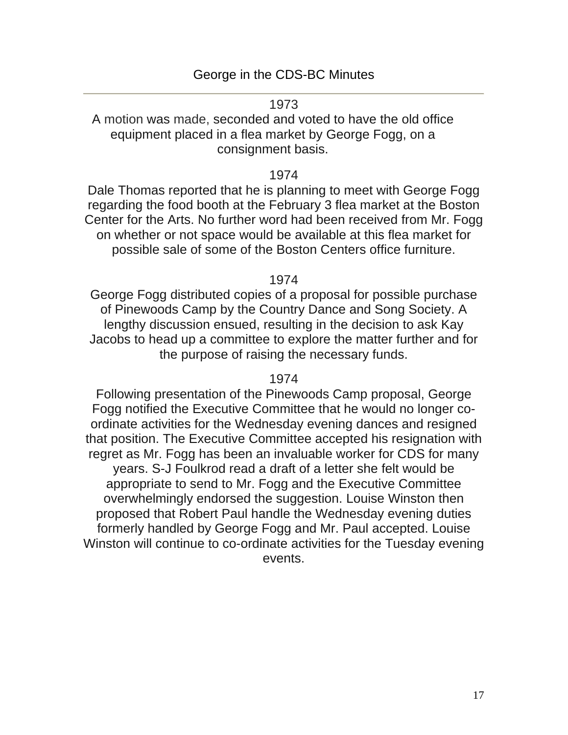1973

A motion was made, seconded and voted to have the old office equipment placed in a flea market by George Fogg, on a consignment basis.

#### 1974

Dale Thomas reported that he is planning to meet with George Fogg regarding the food booth at the February 3 flea market at the Boston Center for the Arts. No further word had been received from Mr. Fogg on whether or not space would be available at this flea market for possible sale of some of the Boston Centers office furniture.

1974

George Fogg distributed copies of a proposal for possible purchase of Pinewoods Camp by the Country Dance and Song Society. A lengthy discussion ensued, resulting in the decision to ask Kay Jacobs to head up a committee to explore the matter further and for the purpose of raising the necessary funds.

# 1974

Following presentation of the Pinewoods Camp proposal, George Fogg notified the Executive Committee that he would no longer coordinate activities for the Wednesday evening dances and resigned that position. The Executive Committee accepted his resignation with regret as Mr. Fogg has been an invaluable worker for CDS for many years. S-J Foulkrod read a draft of a letter she felt would be appropriate to send to Mr. Fogg and the Executive Committee overwhelmingly endorsed the suggestion. Louise Winston then proposed that Robert Paul handle the Wednesday evening duties formerly handled by George Fogg and Mr. Paul accepted. Louise Winston will continue to co-ordinate activities for the Tuesday evening events.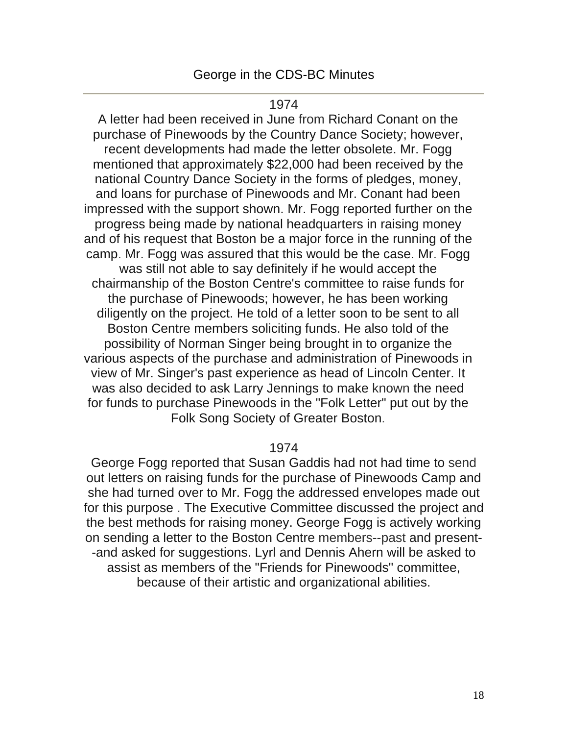#### 1974

A letter had been received in June from Richard Conant on the purchase of Pinewoods by the Country Dance Society; however, recent developments had made the letter obsolete. Mr. Fogg mentioned that approximately \$22,000 had been received by the national Country Dance Society in the forms of pledges, money, and loans for purchase of Pinewoods and Mr. Conant had been impressed with the support shown. Mr. Fogg reported further on the progress being made by national headquarters in raising money and of his request that Boston be a major force in the running of the camp. Mr. Fogg was assured that this would be the case. Mr. Fogg was still not able to say definitely if he would accept the chairmanship of the Boston Centre's committee to raise funds for the purchase of Pinewoods; however, he has been working diligently on the project. He told of a letter soon to be sent to all Boston Centre members soliciting funds. He also told of the possibility of Norman Singer being brought in to organize the various aspects of the purchase and administration of Pinewoods in view of Mr. Singer's past experience as head of Lincoln Center. It was also decided to ask Larry Jennings to make known the need for funds to purchase Pinewoods in the "Folk Letter" put out by the Folk Song Society of Greater Boston.

#### 1974

George Fogg reported that Susan Gaddis had not had time to send out letters on raising funds for the purchase of Pinewoods Camp and she had turned over to Mr. Fogg the addressed envelopes made out for this purpose . The Executive Committee discussed the project and the best methods for raising money. George Fogg is actively working on sending a letter to the Boston Centre members--past and present- -and asked for suggestions. Lyrl and Dennis Ahern will be asked to assist as members of the "Friends for Pinewoods" committee, because of their artistic and organizational abilities.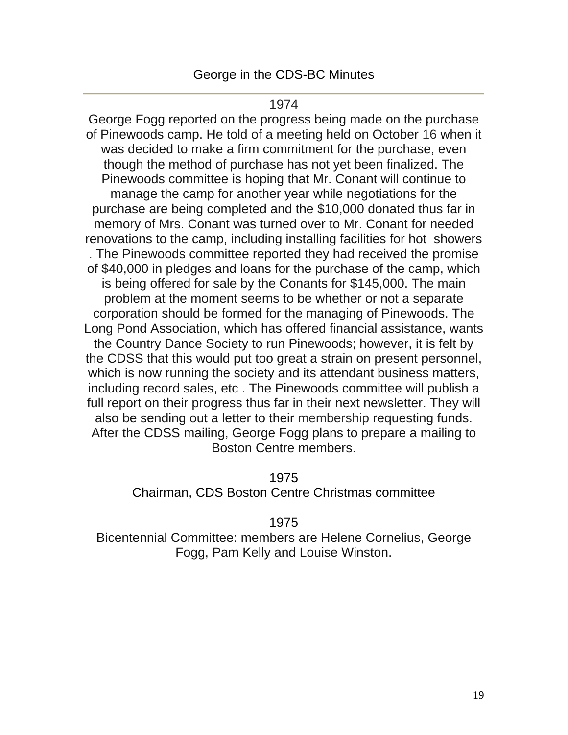1974

George Fogg reported on the progress being made on the purchase of Pinewoods camp. He told of a meeting held on October 16 when it was decided to make a firm commitment for the purchase, even though the method of purchase has not yet been finalized. The Pinewoods committee is hoping that Mr. Conant will continue to manage the camp for another year while negotiations for the purchase are being completed and the \$10,000 donated thus far in memory of Mrs. Conant was turned over to Mr. Conant for needed renovations to the camp, including installing facilities for hot showers . The Pinewoods committee reported they had received the promise of \$40,000 in pledges and loans for the purchase of the camp, which is being offered for sale by the Conants for \$145,000. The main problem at the moment seems to be whether or not a separate corporation should be formed for the managing of Pinewoods. The Long Pond Association, which has offered financial assistance, wants the Country Dance Society to run Pinewoods; however, it is felt by the CDSS that this would put too great a strain on present personnel, which is now running the society and its attendant business matters, including record sales, etc . The Pinewoods committee will publish a full report on their progress thus far in their next newsletter. They will also be sending out a letter to their membership requesting funds. After the CDSS mailing, George Fogg plans to prepare a mailing to Boston Centre members.

1975

Chairman, CDS Boston Centre Christmas committee

1975

Bicentennial Committee: members are Helene Cornelius, George Fogg, Pam Kelly and Louise Winston.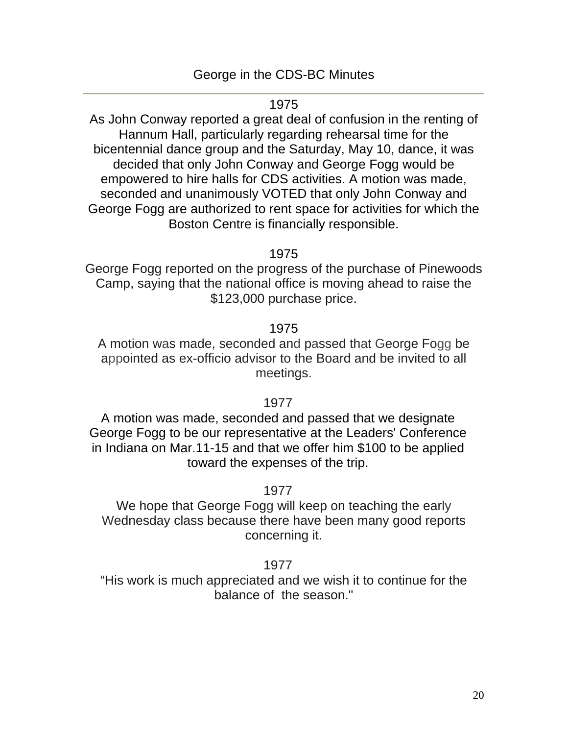#### 1975

As John Conway reported a great deal of confusion in the renting of Hannum Hall, particularly regarding rehearsal time for the bicentennial dance group and the Saturday, May 10, dance, it was decided that only John Conway and George Fogg would be empowered to hire halls for CDS activities. A motion was made, seconded and unanimously VOTED that only John Conway and George Fogg are authorized to rent space for activities for which the Boston Centre is financially responsible.

1975

George Fogg reported on the progress of the purchase of Pinewoods Camp, saying that the national office is moving ahead to raise the \$123,000 purchase price.

# 1975

A motion was made, seconded and passed that George Fogg be appointed as ex-officio advisor to the Board and be invited to all meetings.

# 1977

A motion was made, seconded and passed that we designate George Fogg to be our representative at the Leaders' Conference in Indiana on Mar.11-15 and that we offer him \$100 to be applied toward the expenses of the trip.

1977

We hope that George Fogg will keep on teaching the early Wednesday class because there have been many good reports concerning it.

# 1977

"His work is much appreciated and we wish it to continue for the balance of the season."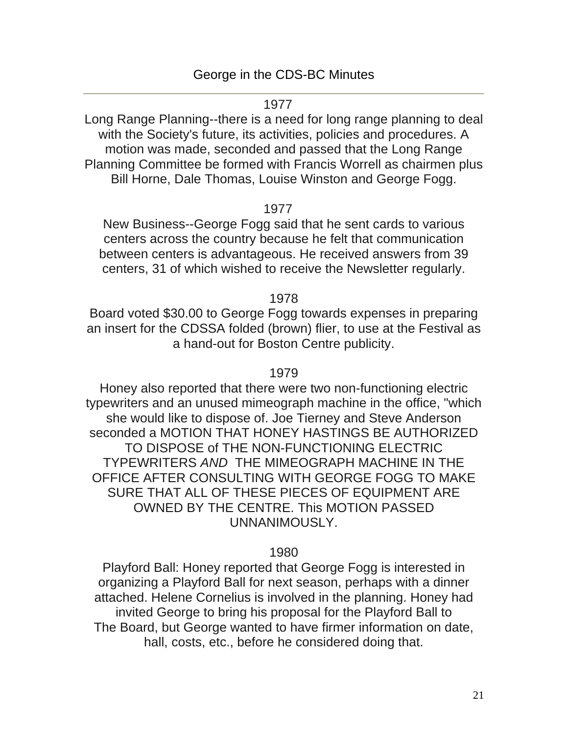#### 1977

Long Range Planning--there is a need for long range planning to deal with the Society's future, its activities, policies and procedures. A motion was made, seconded and passed that the Long Range Planning Committee be formed with Francis Worrell as chairmen plus Bill Horne, Dale Thomas, Louise Winston and George Fogg.

#### 1977

New Business--George Fogg said that he sent cards to various centers across the country because he felt that communication between centers is advantageous. He received answers from 39 centers, 31 of which wished to receive the Newsletter regularly.

# 1978

Board voted \$30.00 to George Fogg towards expenses in preparing an insert for the CDSSA folded (brown) flier, to use at the Festival as a hand-out for Boston Centre publicity.

#### 1979

Honey also reported that there were two non-functioning electric typewriters and an unused mimeograph machine in the office, "which she would like to dispose of. Joe Tierney and Steve Anderson seconded a MOTION THAT HONEY HASTINGS BE AUTHORIZED TO DISPOSE of THE NON-FUNCTIONING ELECTRIC TYPEWRITERS *AND* THE MIMEOGRAPH MACHINE IN THE OFFICE AFTER CONSULTING WITH GEORGE FOGG TO MAKE SURE THAT ALL OF THESE PIECES OF EQUIPMENT ARE OWNED BY THE CENTRE. This MOTION PASSED UNNANIMOUSLY.

#### 1980

Playford Ball: Honey reported that George Fogg is interested in organizing a Playford Ball for next season, perhaps with a dinner attached. Helene Cornelius is involved in the planning. Honey had invited George to bring his proposal for the Playford Ball to The Board, but George wanted to have firmer information on date, hall, costs, etc., before he considered doing that.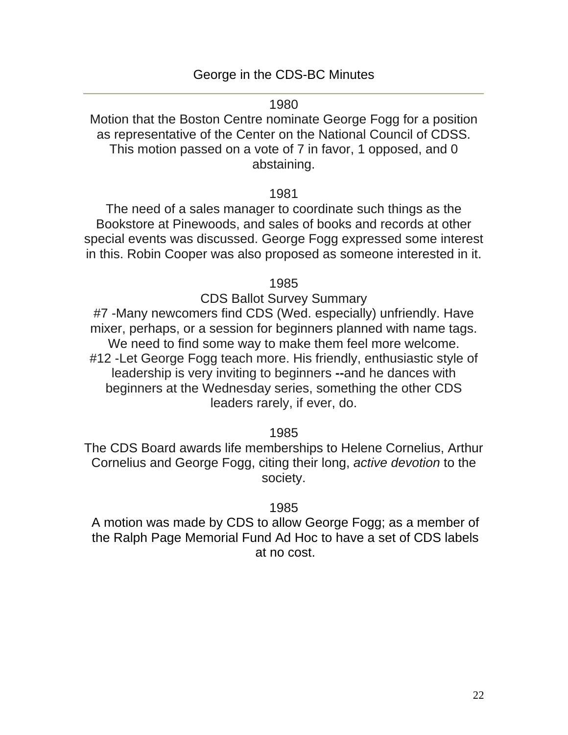1980

Motion that the Boston Centre nominate George Fogg for a position as representative of the Center on the National Council of CDSS. This motion passed on a vote of 7 in favor, 1 opposed, and 0 abstaining.

#### 1981

The need of a sales manager to coordinate such things as the Bookstore at Pinewoods, and sales of books and records at other special events was discussed. George Fogg expressed some interest in this. Robin Cooper was also proposed as someone interested in it.

1985

CDS Ballot Survey Summary

#7 -Many newcomers find CDS (Wed. especially) unfriendly. Have mixer, perhaps, or a session for beginners planned with name tags. We need to find some way to make them feel more welcome. #12 -Let George Fogg teach more. His friendly, enthusiastic style of leadership is very inviting to beginners **--**and he dances with beginners at the Wednesday series, something the other CDS leaders rarely, if ever, do.

1985

The CDS Board awards life memberships to Helene Cornelius, Arthur Cornelius and George Fogg, citing their long, *active devotion* to the society.

1985

A motion was made by CDS to allow George Fogg; as a member of the Ralph Page Memorial Fund Ad Hoc to have a set of CDS labels at no cost.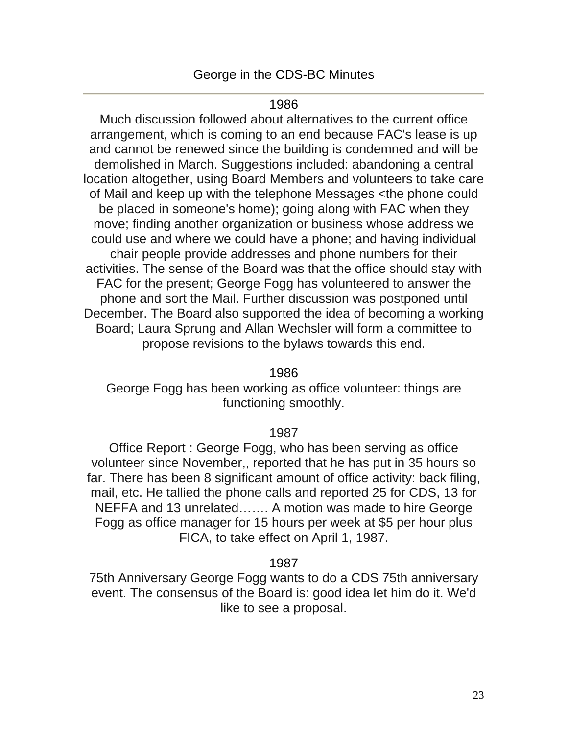#### 1986

Much discussion followed about alternatives to the current office arrangement, which is coming to an end because FAC's lease is up and cannot be renewed since the building is condemned and will be demolished in March. Suggestions included: abandoning a central location altogether, using Board Members and volunteers to take care of Mail and keep up with the telephone Messages <the phone could be placed in someone's home); going along with FAC when they move; finding another organization or business whose address we could use and where we could have a phone; and having individual chair people provide addresses and phone numbers for their activities. The sense of the Board was that the office should stay with FAC for the present; George Fogg has volunteered to answer the phone and sort the Mail. Further discussion was postponed until December. The Board also supported the idea of becoming a working Board; Laura Sprung and Allan Wechsler will form a committee to propose revisions to the bylaws towards this end.

#### 1986

George Fogg has been working as office volunteer: things are functioning smoothly.

#### 1987

Office Report : George Fogg, who has been serving as office volunteer since November,, reported that he has put in 35 hours so far. There has been 8 significant amount of office activity: back filing, mail, etc. He tallied the phone calls and reported 25 for CDS, 13 for NEFFA and 13 unrelated……. A motion was made to hire George Fogg as office manager for 15 hours per week at \$5 per hour plus FICA, to take effect on April 1, 1987.

#### 1987

75th Anniversary George Fogg wants to do a CDS 75th anniversary event. The consensus of the Board is: good idea let him do it. We'd like to see a proposal.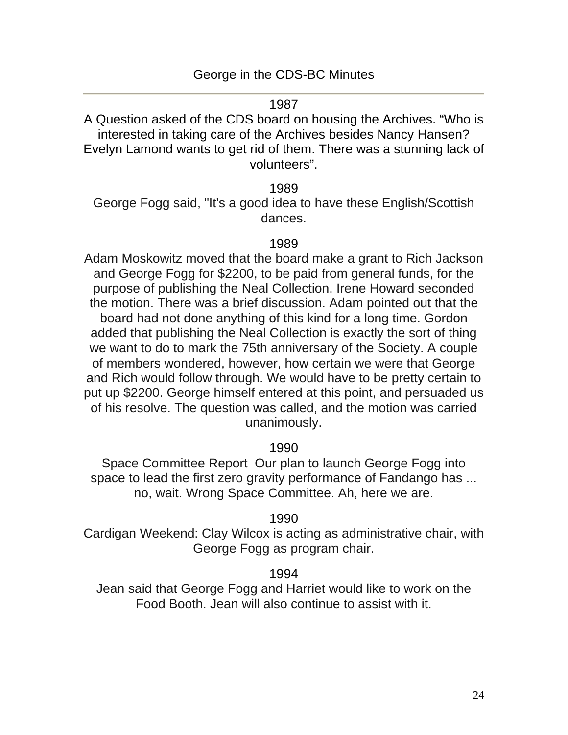#### 1987

A Question asked of the CDS board on housing the Archives. "Who is interested in taking care of the Archives besides Nancy Hansen? Evelyn Lamond wants to get rid of them. There was a stunning lack of volunteers".

#### 1989

George Fogg said, "It's a good idea to have these English/Scottish dances.

#### 1989

Adam Moskowitz moved that the board make a grant to Rich Jackson and George Fogg for \$2200, to be paid from general funds, for the purpose of publishing the Neal Collection. Irene Howard seconded the motion. There was a brief discussion. Adam pointed out that the board had not done anything of this kind for a long time. Gordon added that publishing the Neal Collection is exactly the sort of thing we want to do to mark the 75th anniversary of the Society. A couple of members wondered, however, how certain we were that George and Rich would follow through. We would have to be pretty certain to put up \$2200. George himself entered at this point, and persuaded us of his resolve. The question was called, and the motion was carried unanimously.

#### 1990

Space Committee Report Our plan to launch George Fogg into space to lead the first zero gravity performance of Fandango has ... no, wait. Wrong Space Committee. Ah, here we are.

#### 1990

Cardigan Weekend: Clay Wilcox is acting as administrative chair, with George Fogg as program chair.

1994

Jean said that George Fogg and Harriet would like to work on the Food Booth. Jean will also continue to assist with it.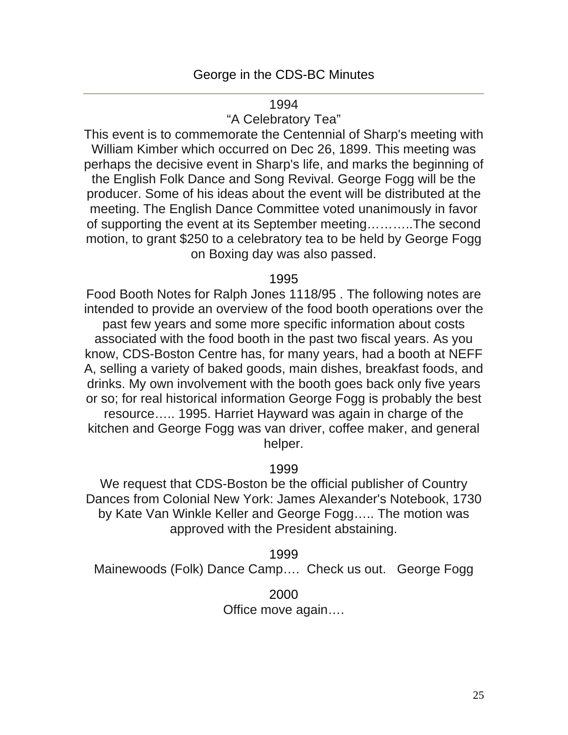#### 1994

# "A Celebratory Tea"

This event is to commemorate the Centennial of Sharp's meeting with William Kimber which occurred on Dec 26, 1899. This meeting was perhaps the decisive event in Sharp's life, and marks the beginning of the English Folk Dance and Song Revival. George Fogg will be the producer. Some of his ideas about the event will be distributed at the meeting. The English Dance Committee voted unanimously in favor of supporting the event at its September meeting………..The second motion, to grant \$250 to a celebratory tea to be held by George Fogg on Boxing day was also passed.

# 1995

Food Booth Notes for Ralph Jones 1118/95 . The following notes are intended to provide an overview of the food booth operations over the past few years and some more specific information about costs associated with the food booth in the past two fiscal years. As you know, CDS-Boston Centre has, for many years, had a booth at NEFF A, selling a variety of baked goods, main dishes, breakfast foods, and drinks. My own involvement with the booth goes back only five years or so; for real historical information George Fogg is probably the best resource….. 1995. Harriet Hayward was again in charge of the kitchen and George Fogg was van driver, coffee maker, and general helper.

# 1999

We request that CDS-Boston be the official publisher of Country Dances from Colonial New York: James Alexander's Notebook, 1730 by Kate Van Winkle Keller and George Fogg….. The motion was approved with the President abstaining.

1999

Mainewoods (Folk) Dance Camp…. Check us out. George Fogg

2000 Office move again….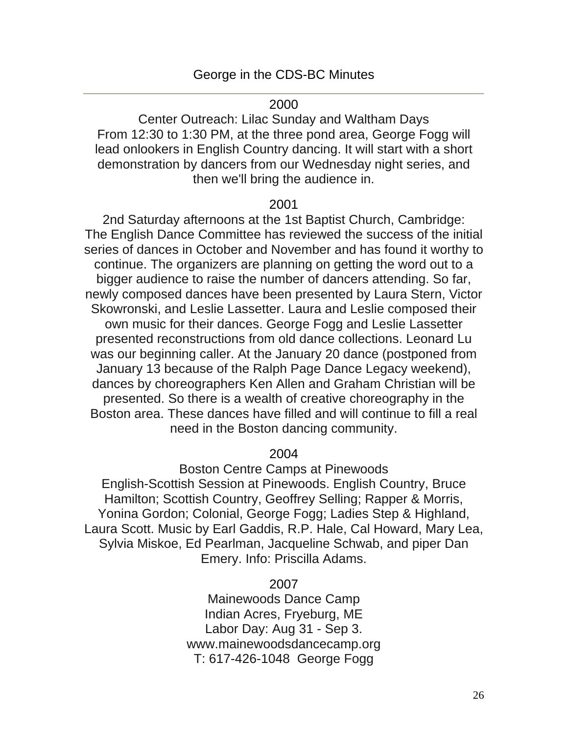#### 2000

Center Outreach: Lilac Sunday and Waltham Days From 12:30 to 1:30 PM, at the three pond area, George Fogg will lead onlookers in English Country dancing. It will start with a short demonstration by dancers from our Wednesday night series, and then we'll bring the audience in.

#### 2001

2nd Saturday afternoons at the 1st Baptist Church, Cambridge: The English Dance Committee has reviewed the success of the initial series of dances in October and November and has found it worthy to continue. The organizers are planning on getting the word out to a bigger audience to raise the number of dancers attending. So far, newly composed dances have been presented by Laura Stern, Victor Skowronski, and Leslie Lassetter. Laura and Leslie composed their own music for their dances. George Fogg and Leslie Lassetter presented reconstructions from old dance collections. Leonard Lu was our beginning caller. At the January 20 dance (postponed from January 13 because of the Ralph Page Dance Legacy weekend), dances by choreographers Ken Allen and Graham Christian will be presented. So there is a wealth of creative choreography in the Boston area. These dances have filled and will continue to fill a real need in the Boston dancing community.

2004

Boston Centre Camps at Pinewoods English-Scottish Session at Pinewoods. English Country, Bruce Hamilton; Scottish Country, Geoffrey Selling; Rapper & Morris, Yonina Gordon; Colonial, George Fogg; Ladies Step & Highland, Laura Scott. Music by Earl Gaddis, R.P. Hale, Cal Howard, Mary Lea, Sylvia Miskoe, Ed Pearlman, Jacqueline Schwab, and piper Dan Emery. Info: Priscilla Adams.

2007

Mainewoods Dance Camp Indian Acres, Fryeburg, ME Labor Day: Aug 31 - Sep 3. www.mainewoodsdancecamp.org T: 617-426-1048 George Fogg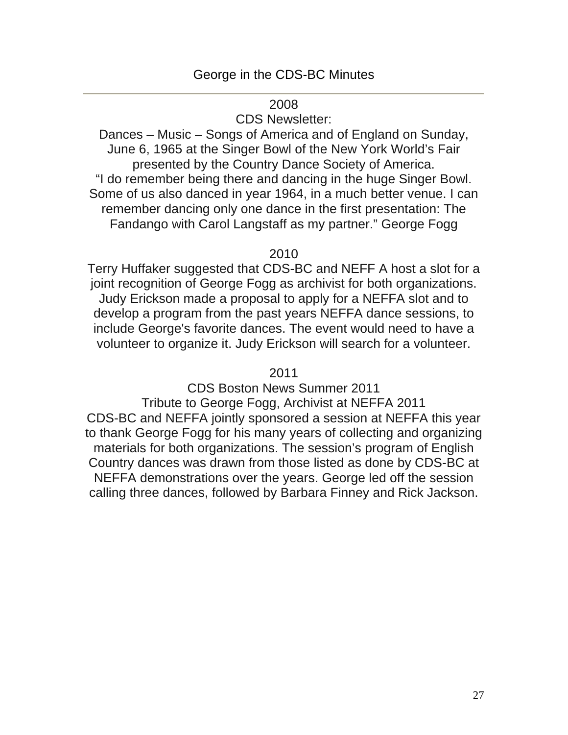# 2008

# CDS Newsletter:

Dances – Music – Songs of America and of England on Sunday, June 6, 1965 at the Singer Bowl of the New York World's Fair presented by the Country Dance Society of America. "I do remember being there and dancing in the huge Singer Bowl. Some of us also danced in year 1964, in a much better venue. I can remember dancing only one dance in the first presentation: The Fandango with Carol Langstaff as my partner." George Fogg

# 2010

Terry Huffaker suggested that CDS-BC and NEFF A host a slot for a joint recognition of George Fogg as archivist for both organizations. Judy Erickson made a proposal to apply for a NEFFA slot and to develop a program from the past years NEFFA dance sessions, to include George's favorite dances. The event would need to have a volunteer to organize it. Judy Erickson will search for a volunteer.

2011

CDS Boston News Summer 2011

Tribute to George Fogg, Archivist at NEFFA 2011 CDS-BC and NEFFA jointly sponsored a session at NEFFA this year to thank George Fogg for his many years of collecting and organizing materials for both organizations. The session's program of English Country dances was drawn from those listed as done by CDS-BC at NEFFA demonstrations over the years. George led off the session calling three dances, followed by Barbara Finney and Rick Jackson.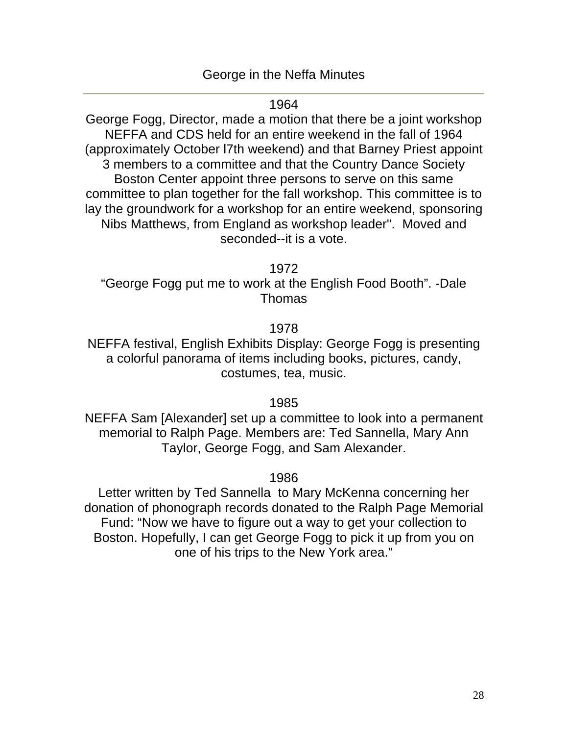#### 1964

George Fogg, Director, made a motion that there be a joint workshop NEFFA and CDS held for an entire weekend in the fall of 1964 (approximately October l7th weekend) and that Barney Priest appoint 3 members to a committee and that the Country Dance Society Boston Center appoint three persons to serve on this same committee to plan together for the fall workshop. This committee is to lay the groundwork for a workshop for an entire weekend, sponsoring Nibs Matthews, from England as workshop leader". Moved and seconded--it is a vote.

1972

"George Fogg put me to work at the English Food Booth". -Dale Thomas

# 1978

NEFFA festival, English Exhibits Display: George Fogg is presenting a colorful panorama of items including books, pictures, candy, costumes, tea, music.

1985

NEFFA Sam [Alexander] set up a committee to look into a permanent memorial to Ralph Page. Members are: Ted Sannella, Mary Ann Taylor, George Fogg, and Sam Alexander.

1986

Letter written by Ted Sannella to Mary McKenna concerning her donation of phonograph records donated to the Ralph Page Memorial Fund: "Now we have to figure out a way to get your collection to Boston. Hopefully, I can get George Fogg to pick it up from you on one of his trips to the New York area."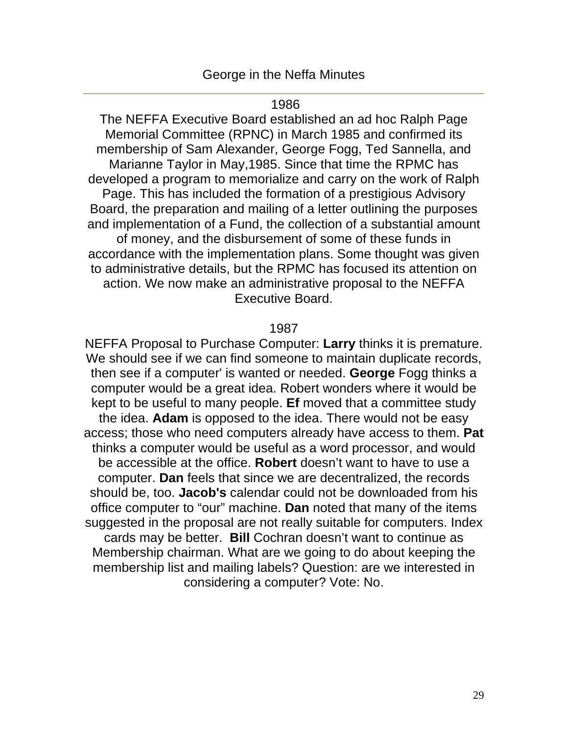#### 1986

The NEFFA Executive Board established an ad hoc Ralph Page Memorial Committee (RPNC) in March 1985 and confirmed its membership of Sam Alexander, George Fogg, Ted Sannella, and Marianne Taylor in May,1985. Since that time the RPMC has developed a program to memorialize and carry on the work of Ralph Page. This has included the formation of a prestigious Advisory Board, the preparation and mailing of a letter outlining the purposes and implementation of a Fund, the collection of a substantial amount of money, and the disbursement of some of these funds in accordance with the implementation plans. Some thought was given to administrative details, but the RPMC has focused its attention on action. We now make an administrative proposal to the NEFFA Executive Board.

#### 1987

NEFFA Proposal to Purchase Computer: **Larry** thinks it is premature. We should see if we can find someone to maintain duplicate records, then see if a computer' is wanted or needed. **George** Fogg thinks a computer would be a great idea. Robert wonders where it would be kept to be useful to many people. **Ef** moved that a committee study the idea. **Adam** is opposed to the idea. There would not be easy access; those who need computers already have access to them. **Pat** thinks a computer would be useful as a word processor, and would be accessible at the office. **Robert** doesn't want to have to use a computer. **Dan** feels that since we are decentralized, the records should be, too. **Jacob's** calendar could not be downloaded from his office computer to "our" machine. **Dan** noted that many of the items suggested in the proposal are not really suitable for computers. Index cards may be better. **Bill** Cochran doesn't want to continue as Membership chairman. What are we going to do about keeping the membership list and mailing labels? Question: are we interested in considering a computer? Vote: No.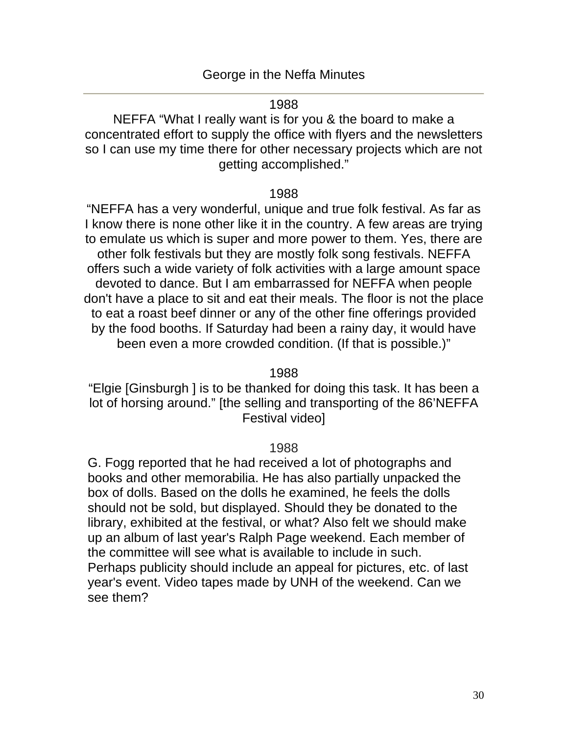#### 1988

NEFFA "What I really want is for you & the board to make a concentrated effort to supply the office with flyers and the newsletters so I can use my time there for other necessary projects which are not getting accomplished."

#### 1988

"NEFFA has a very wonderful, unique and true folk festival. As far as I know there is none other like it in the country. A few areas are trying to emulate us which is super and more power to them. Yes, there are other folk festivals but they are mostly folk song festivals. NEFFA offers such a wide variety of folk activities with a large amount space devoted to dance. But I am embarrassed for NEFFA when people don't have a place to sit and eat their meals. The floor is not the place to eat a roast beef dinner or any of the other fine offerings provided by the food booths. If Saturday had been a rainy day, it would have been even a more crowded condition. (If that is possible.)"

#### 1988

"Elgie [Ginsburgh ] is to be thanked for doing this task. It has been a lot of horsing around." [the selling and transporting of the 86'NEFFA Festival video]

#### 1988

G. Fogg reported that he had received a lot of photographs and books and other memorabilia. He has also partially unpacked the box of dolls. Based on the dolls he examined, he feels the dolls should not be sold, but displayed. Should they be donated to the library, exhibited at the festival, or what? Also felt we should make up an album of last year's Ralph Page weekend. Each member of the committee will see what is available to include in such. Perhaps publicity should include an appeal for pictures, etc. of last year's event. Video tapes made by UNH of the weekend. Can we see them?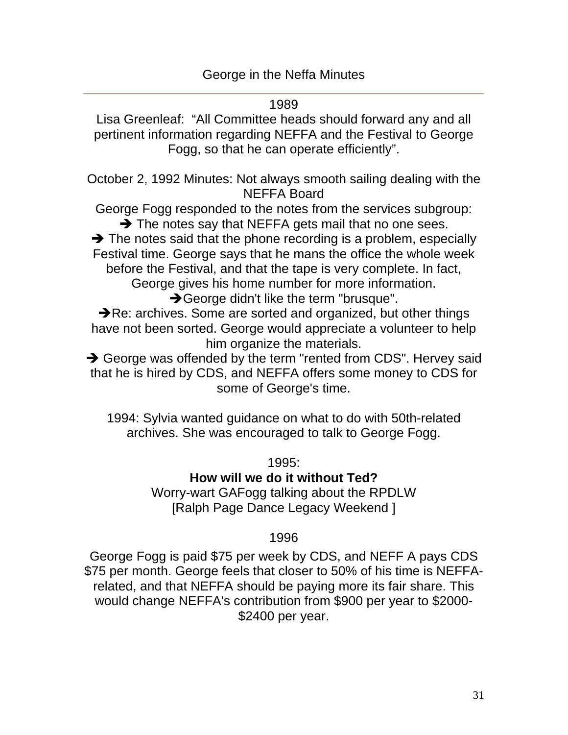#### 1989

Lisa Greenleaf: "All Committee heads should forward any and all pertinent information regarding NEFFA and the Festival to George Fogg, so that he can operate efficiently".

October 2, 1992 Minutes: Not always smooth sailing dealing with the NEFFA Board

George Fogg responded to the notes from the services subgroup:  $\rightarrow$  The notes say that NEFFA gets mail that no one sees.

 $\rightarrow$  The notes said that the phone recording is a problem, especially Festival time. George says that he mans the office the whole week before the Festival, and that the tape is very complete. In fact, George gives his home number for more information.

→ George didn't like the term "brusque".

 $\rightarrow$ Re: archives. Some are sorted and organized, but other things have not been sorted. George would appreciate a volunteer to help him organize the materials.

George was offended by the term "rented from CDS". Hervey said that he is hired by CDS, and NEFFA offers some money to CDS for some of George's time.

1994: Sylvia wanted guidance on what to do with 50th-related archives. She was encouraged to talk to George Fogg.

1995:

**How will we do it without Ted?** 

Worry-wart GAFogg talking about the RPDLW [Ralph Page Dance Legacy Weekend ]

# 1996

George Fogg is paid \$75 per week by CDS, and NEFF A pays CDS \$75 per month. George feels that closer to 50% of his time is NEFFArelated, and that NEFFA should be paying more its fair share. This would change NEFFA's contribution from \$900 per year to \$2000- \$2400 per year.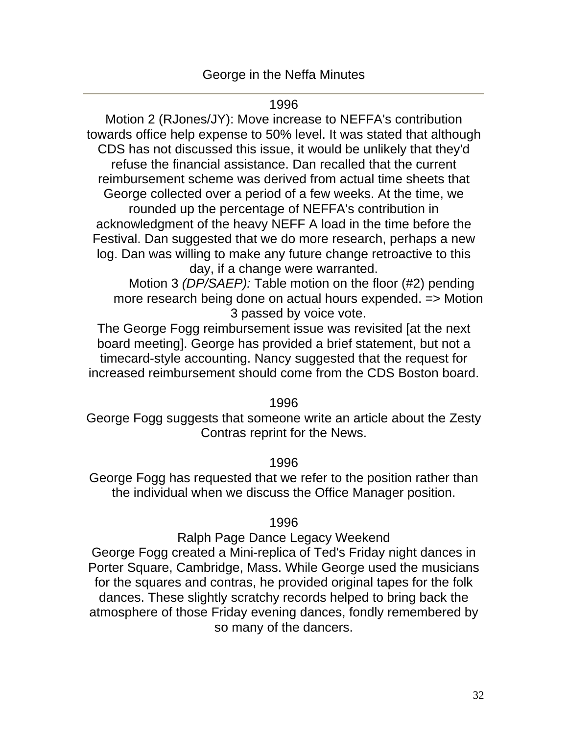#### 1996

Motion 2 (RJones/JY): Move increase to NEFFA's contribution towards office help expense to 50% level. It was stated that although CDS has not discussed this issue, it would be unlikely that they'd refuse the financial assistance. Dan recalled that the current reimbursement scheme was derived from actual time sheets that George collected over a period of a few weeks. At the time, we rounded up the percentage of NEFFA's contribution in acknowledgment of the heavy NEFF A load in the time before the Festival. Dan suggested that we do more research, perhaps a new log. Dan was willing to make any future change retroactive to this day, if a change were warranted.

Motion 3 *(DP/SAEP):* Table motion on the floor (#2) pending more research being done on actual hours expended. => Motion 3 passed by voice vote.

The George Fogg reimbursement issue was revisited [at the next board meeting]. George has provided a brief statement, but not a timecard-style accounting. Nancy suggested that the request for increased reimbursement should come from the CDS Boston board.

1996

George Fogg suggests that someone write an article about the Zesty Contras reprint for the News.

1996

George Fogg has requested that we refer to the position rather than the individual when we discuss the Office Manager position.

1996

Ralph Page Dance Legacy Weekend

George Fogg created a Mini-replica of Ted's Friday night dances in Porter Square, Cambridge, Mass. While George used the musicians for the squares and contras, he provided original tapes for the folk dances. These slightly scratchy records helped to bring back the atmosphere of those Friday evening dances, fondly remembered by so many of the dancers.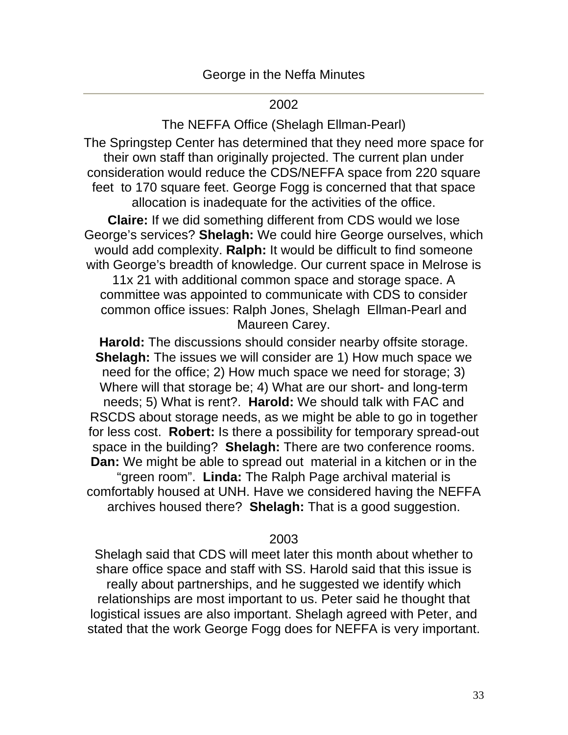#### 2002

The NEFFA Office (Shelagh Ellman-Pearl)

The Springstep Center has determined that they need more space for their own staff than originally projected. The current plan under consideration would reduce the CDS/NEFFA space from 220 square feet to 170 square feet. George Fogg is concerned that that space allocation is inadequate for the activities of the office.

**Claire:** If we did something different from CDS would we lose George's services? **Shelagh:** We could hire George ourselves, which would add complexity. **Ralph:** It would be difficult to find someone with George's breadth of knowledge. Our current space in Melrose is 11x 21 with additional common space and storage space. A committee was appointed to communicate with CDS to consider common office issues: Ralph Jones, Shelagh Ellman-Pearl and Maureen Carey.

**Harold:** The discussions should consider nearby offsite storage. **Shelagh:** The issues we will consider are 1) How much space we need for the office; 2) How much space we need for storage; 3) Where will that storage be; 4) What are our short- and long-term needs; 5) What is rent?. **Harold:** We should talk with FAC and RSCDS about storage needs, as we might be able to go in together for less cost. **Robert:** Is there a possibility for temporary spread-out space in the building? **Shelagh:** There are two conference rooms. **Dan:** We might be able to spread out material in a kitchen or in the "green room". **Linda:** The Ralph Page archival material is comfortably housed at UNH. Have we considered having the NEFFA archives housed there? **Shelagh:** That is a good suggestion.

# 2003

Shelagh said that CDS will meet later this month about whether to share office space and staff with SS. Harold said that this issue is really about partnerships, and he suggested we identify which relationships are most important to us. Peter said he thought that logistical issues are also important. Shelagh agreed with Peter, and stated that the work George Fogg does for NEFFA is very important.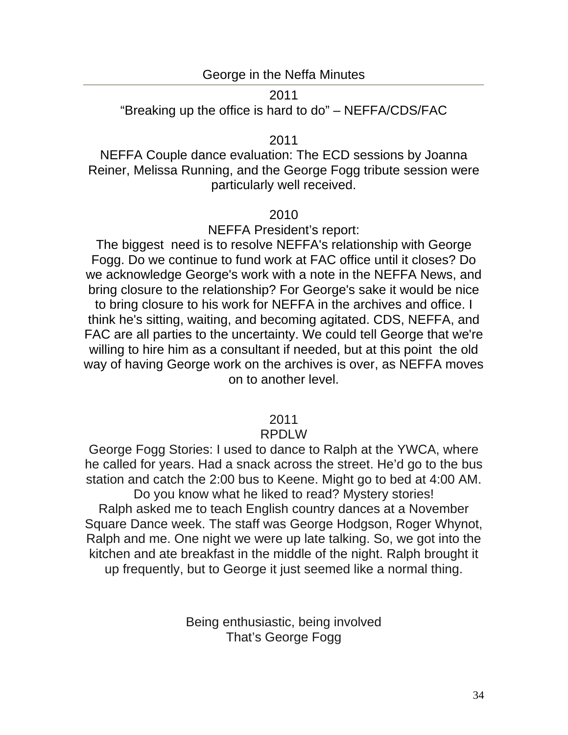2011

"Breaking up the office is hard to do" – NEFFA/CDS/FAC

2011

NEFFA Couple dance evaluation: The ECD sessions by Joanna Reiner, Melissa Running, and the George Fogg tribute session were particularly well received.

2010

NEFFA President's report:

The biggest need is to resolve NEFFA's relationship with George Fogg. Do we continue to fund work at FAC office until it closes? Do we acknowledge George's work with a note in the NEFFA News, and bring closure to the relationship? For George's sake it would be nice to bring closure to his work for NEFFA in the archives and office. I think he's sitting, waiting, and becoming agitated. CDS, NEFFA, and FAC are all parties to the uncertainty. We could tell George that we're willing to hire him as a consultant if needed, but at this point the old way of having George work on the archives is over, as NEFFA moves on to another level.

2011

RPDLW

George Fogg Stories: I used to dance to Ralph at the YWCA, where he called for years. Had a snack across the street. He'd go to the bus station and catch the 2:00 bus to Keene. Might go to bed at 4:00 AM. Do you know what he liked to read? Mystery stories! Ralph asked me to teach English country dances at a November Square Dance week. The staff was George Hodgson, Roger Whynot, Ralph and me. One night we were up late talking. So, we got into the kitchen and ate breakfast in the middle of the night. Ralph brought it up frequently, but to George it just seemed like a normal thing.

> Being enthusiastic, being involved That's George Fogg